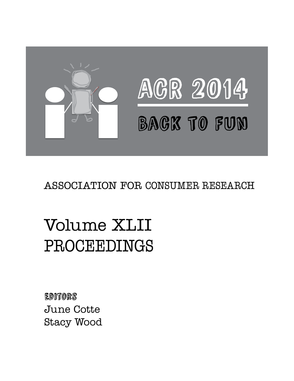

### ASSOCIATION FOR CONSUMER RESEARCH

## Volume XLII PROCEEDINGS

Editors June Cotte Stacy Wood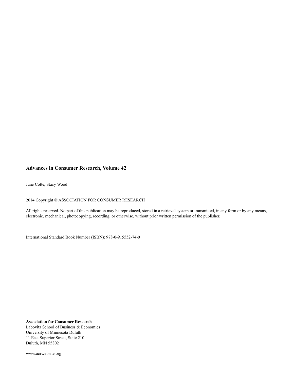#### **Advances in Consumer Research, Volume 42**

June Cotte, Stacy Wood

2014 Copyright © ASSOCIATION FOR CONSUMER RESEARCH

All rights reserved. No part of this publication may be reproduced, stored in a retrieval system or transmitted, in any form or by any means, electronic, mechanical, photocopying, recording, or otherwise, without prior written permission of the publisher.

International Standard Book Number (ISBN): 978-0-915552-74-0

**Association for Consumer Research** Labovitz School of Business & Economics University of Minnesota Duluth 11 East Superior Street, Suite 210 Duluth, MN 55802

www.acrwebsite.org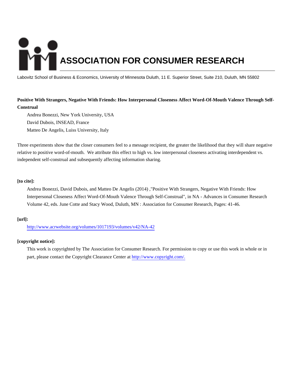# **ASSOCIATION FOR CONSUMER RESEARCH**

Labovitz School of Business & Economics, University of Minnesota Duluth, 11 E. Superior Street, Suite 210, Duluth, MN 55802

#### **Positive With Strangers, Negative With Friends: How Interpersonal Closeness Affect Word-Of-Mouth Valence Through Self-Construal**

Andrea Bonezzi, New York University, USA David Dubois, INSEAD, France Matteo De Angelis, Luiss University, Italy

Three experiments show that the closer consumers feel to a message recipient, the greater the likelihood that they will share negative relative to positive word-of-mouth. We attribute this effect to high vs. low interpersonal closeness activating interdependent vs. independent self-construal and subsequently affecting information sharing.

#### **[to cite]:**

Andrea Bonezzi, David Dubois, and Matteo De Angelis (2014) ,"Positive With Strangers, Negative With Friends: How Interpersonal Closeness Affect Word-Of-Mouth Valence Through Self-Construal", in NA - Advances in Consumer Research Volume 42, eds. June Cotte and Stacy Wood, Duluth, MN : Association for Consumer Research, Pages: 41-46.

#### **[url]:**

<http://www.acrwebsite.org/volumes/1017193/volumes/v42/NA-42>

#### **[copyright notice]:**

This work is copyrighted by The Association for Consumer Research. For permission to copy or use this work in whole or in part, please contact the Copyright Clearance Center at [http://www.copyright.com/.](http://www.copyright.com/)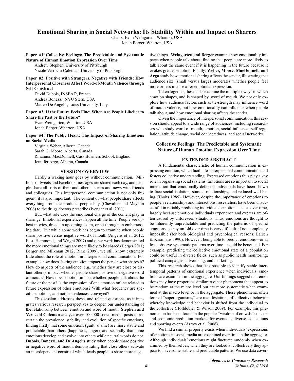#### **Emotional Sharing in Social Networks: Its Stability Within and Impact on Sharers**

Chairs: Evan Weingarten, Wharton, USA Jonah Berger, Wharton, USA

Paper #1: Collective Feelings: The Predictable and Systematic **Nature of Human Emotion Expression Over Time** 

Andrew Stephen, University of Pittsburgh Nicole Verrochi Coleman, University of Pittsburgh

Paper #2: Positive with Strangers, Negative with Friends: How **Interpersonal Closeness Affect Word-of-Mouth Valence through** Self-Construal

David Dubois, INSEAD, France Andrea Bonezzi, NYU Stern, USA Matteo De Angelis, Luiss University, Italy

Paper #3: If the Future Feels Fine: When Are People Likelier to Share the Past or the Future?

Evan Weingarten, Wharton, USA Jonah Berger, Wharton, USA

Paper #4: The Public Heart: The Impact of Sharing Emotions on Social Media

Virginia Weber, Alberta, Canada Sarah G. Moore, Alberta, Canada Rhiannon MacDonnell, Cass Business School, England Jennifer Argo, Alberta, Canada

#### **SESSION OVERVIEW**

Hardly a waking hour goes by without communication. Millions of tweets and Facebook messages are shared each day, and people share all sorts of their and others' stories and news with friends and colleagues. This interpersonal communication is not only frequent, it is also important. The content of what people share affects everything from the products people buy (Chevalier and Mayzlin 2006) to the drugs doctors prescribe (Iyengar et al. 2011).

But, what role does the emotional charge of the content play in sharing? Emotional experiences happen all the time. People see upbeat movies, dread an upcoming exam, or sit through an embarrassing date. But while some work has begun to examine when people share positive versus negative word of mouth (Angelis et al. 2012; East, Hammond, and Wright 2007) and other work has demonstrated the more emotional things are more likely to be shared (Berger 2011; Berger and Milkman 2012; Rime 2009), we still know extremely little about the role of emotion in interpersonal communication. For example, how does sharing emotion impact the person who shares it? How do aspects of the audience (e.g., whether they are close or distant others), impact whether people share positive or negative word of mouth? How does emotion impact whether people talk about the future or the past? Is the expression of one emotion online related to future expression of other emotions? With what frequency are specific emotions, and not just valences, conveyed?

This session addresses these, and related questions, as it integrates various research perspectives to deepen our understanding of the relationship between emotion and word of mouth. Stephen and Verocchi Coleman analyze over 100,000 social media posts to ascertain the prevalence, stability, and evolution of specific emotions, finding firstly that some emotions (guilt, shame) are more stable and predictable than others (happiness, anger), and secondly that some emotions develop and evolve into others while neutral words do not. Dubois, Bonezzi, and De Angelis study when people share positive or negative word of mouth, demonstrating that close others activate an interdependent construal which leads people to share more negative things. Weingarten and Berger examine how emotionality impacts when people talk about, finding that people are more likely to talk about the same event if it is happening in the future because it evokes greater emotion. Finally, Weber, Moore, MacDonnell, and Argo study how emotional sharing affects the sender, illustrating that audience size (small versus large) moderates whether people feel more or less intense after emotional expression.

Taken together, these talks examine the multiplex ways in which emotion shapes, and is shaped by, word of mouth. We not only explore how audience factors such as tie-strength may influence word of mouth valence, but how emotionality can influence when people talk about, and how emotional sharing affects the sender.

Given the importance of interpersonal communication, this session should appeal to a wide range of audiences, including researchers who study word of mouth, emotion, social influence, self-regulation, attitude change, social connectedness, and social networks.

#### **Collective Feelings: The Predictable and Systematic Nature of Human Emotion Expression Over Time**

#### **EXTENDED ABSTRACT**

A fundamental characteristic of human communication is expressing emotion, which facilitates interpersonal communication and fosters collective understanding. Expressed emotions thus play a key role in organizing social systems. Emotions are so important to social interaction that emotionally deficient individuals have been shown to face social isolation, stunted relationships, and reduced well-being (Thoits 1985). However, despite the importance of emotions to people's relationships and interactions, researchers have been unsuccessful in reliably predicting individuals' emotional states over time, largely because emotions individuals experience and express are often caused by unforeseen situations. Thus, emotions are thought to be inherently unpredictable and predicting the patterns of specific emotions as they unfold over time is very difficult, if not completely impossible (for both biological and psychological reasons; Larsen & Kasimatis 1990). However, being able to predict emotions—or at least observe systematic patterns over time—could be beneficial. For example, predicting the collective emotional state of a population could be useful in diverse fields, such as public health monitoring, political campaigns, advertising, and marketing.

This research shows that it is possible to identify stable intertemporal patterns of emotional experience when individuals' emotions are examined in the aggregate. Our findings suggest that emotions may have properties similar to other phenomena that appear to be random at the micro level but are more systematic when examined at the macro level or in the aggregate. These phenomena, often termed "superorganisms," are manifestations of collective behavior whereby knowledge and behavior is shifted from the individual to the collective (Hölldobler  $\&$  Wilson 2009). For example, this phenomenon has been found in the popular "wisdom of crowds" concept and economic prediction markets for events as diverse as elections and sporting events (Arrow et al. 2008).

We find a similar property exists when individuals' expressions of emotions in social media are examined over time in the aggregate. Although individuals' emotions might fluctuate randomly when examined by themselves, when they are looked at collectively they appear to have some stable and predictable patterns. We use data cover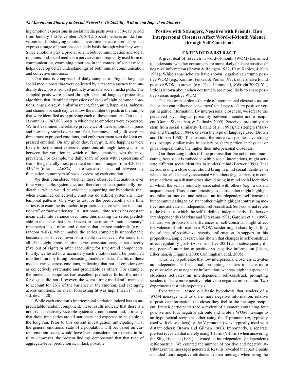ing emotion expressions in social media posts over a 330-day period from January 1 to November 25, 2012. Social media is an ideal environment for studying emotions over time because users appear to express a range of emotions on a daily basis through what they write. Since emotions play a pivotal role in both communication and social relations, and social media is a pervasive and frequently used form of communication, examining emotions in the context of social media helps develop better understandings of both human communication and collective emotions.

Our data is comprised of daily samples of English-language social media posts that were collected by a research agency that randomly drew posts from all publicly available social media posts. The sampled posts were passed through a natural language processing algorithm that identified expressions of each of eight common emotions: anger, disgust, embarrassment, fear, guilt, happiness, sadness, and shame. For each day we know the number of posts in the sample that were identified as expressing each of these emotions. Our dataset contains 6,947,808 posts in which these emotions were expressed. We first examined the relative prevalence of these emotions in posts and how they varied over time. Fear, happiness, and guilt were the three most expressed emotions, and embarrassment was the least expressed emotion. On any given day, fear, guilt, and happiness were likely to be the most-expressed emotions, although there was some between-day variation in which of these emotions was the most prevalent. For example, the daily share of posts with expressions of fear—the generally most prevalent emotion—ranged from 4.20% to 43.94% (mean =  $22.68\%$ ). There was also substantial between-day fluctuation in numbers of posts expressing each emotion.

We then considered whether these observed fluctuations over time were stable, systematic, and therefore at least potentially predictable, which would be evidence supporting our hypothesis that, when examined collectively, emotions do exhibit systematic intertemporal patterns. One way to test for the predictability of a time series is to examine its stochastic properties to see whether it is "stationary" or "non-stationary." A "stationary" time series has constant mean and finite variance over time, thus making the series predictable in the sense that it will revert to the mean. A "non-stationary" time series has a mean and variance that change randomly (e.g., a random walk), which makes the series completely unpredictable because it will never revert to a stable mean level. We found that all of the eight emotions' time series were stationary, either directly (five out of eight) or after accounting for time-trend components. Finally, we tested how accurately each emotion could be predicted into the future by fitting forecasting models to data. The fits of these models varied across emotions, indicating that not all emotions are as collectively systematic and predictable as others. For example, the model for happiness had excellent predictive fit but the model for disgust did not. However, the worst-fitting model still managed to account for 26% of the variance in the emotion, and averaging across emotions, the mean forecasting fit was high (mean  $r^2 = .52$ , std.  $dev. = .20$ ).

While each emotion's intertemporal variation indeed has an unpredictable random component, these results indicate that there is a nontrivial, relatively sizeable systematic component and, critically, that these time series are all stationary and expected to be stable in the long run. Prior to this current investigation, anticipating what the general emotional state of a population will be, based on current emotion states, would have been considered an exercise in futility-however, the present findings demonstrate that that type of aggregate-level prediction is, in fact, possible.

#### Positive with Strangers, Negative with Friends: How **Interpersonal Closeness Affect Word-of-Mouth Valence** through Self-Construal

#### **EXTENDED ABSTRACT**

A great deal of research in word-of-mouth (WOM) has aimed to understand whether consumers are more likely to share positive or negative information (Brown & Reingen 1987; Herr, Kardes, & Kim 1991). While some scholars have shown negative can trump positive WOM (e.g., Kamins, Folkes, & Pernes 1997), others have found positive WOM to prevail (e.g., East, Hammond, & Wright 2007). Yet, little is known about when consumers are more likely to share positive versus negative WOM.

This research explores the role of interpersonal closeness as one factor that can influence consumers' tendency to share positive versus negative information. By interpersonal closeness, we refer to the perceived psychological proximity between a sender and a recipient (Gunia, Sivanathan, & Galinsky 2009). Perceived proximity can stem from social similarity (Latanè et al. 1995), tie strength (Marsden and Campbell 1984), or even the type of language used (Brown and Gilman 1960). To illustrate, the more two people have strong ties, occupy similar roles in society or share particular physical or physiological traits, the higher their interpersonal closeness.

Our theorizing builds off the premise that the act of communicating, because it is embedded within social interactions, might activate different social identities in senders' mind (Brewer 1991). That is, addressing a close other should bring in mind social identities in which the self is closely associated with others (e.g., a friend); in contrast, addressing a distant other should bring in mind social identities in which the self is remotely associated with others (e.g., a distant acquaintance). Thus, communicating to a close other might highlight assimilation motives and activate an interdependent self-construal but communicating to a distant other might highlight contrasting motives and activate an independent self-construal. Self-construal refers to the extent to which the self is defined independently of others or interdependently (Markus and Kitayama 1991; Gardner et al. 1999). In turn, we propose that differences in self-construal might affect the valence of information a WOM sender might share by shifting the salience of positive vs. negative information. In support for this proposition, ample research has shown that changes in self-construal affect regulatory goals (Aaker and Lee 2001) and subsequently direct people's attention to positive vs. negative information (Idson, Liberman, & Higgins, 2000; Cunningham et al. 2005).

Thus, we hypothesize that low interpersonal closeness activates an independent self-construal, prompting senders to share more positive relative to negative information, whereas high interpersonal closeness activates an interdependent self-construal, prompting senders to share more positive relative to negative information. Two experiments test this hypothesis.

Experiment 1 tested our basic hypothesis that senders of a WOM message tend to share more negative information, relative to positive information, the closer they feel to the message recipient. French participants read a review of a camera containing four positive and four negative attribute and wrote a WOM message to an hypothetical recipient either using the  $T$  pronoun  $(tu, t$  typically used with close others) or the V pronoun (vous, typically used with distant others; Brown and Gilman 1960). Importantly, a separate pre-test revealed that merely using T-form (V-form) when answering the Singelis scale (1994) activated an interdependent (independent) self-construal. We counted the number of positive and negative attributes in the messages generated. Results revealed that participants included more negative attributes in their message when using the